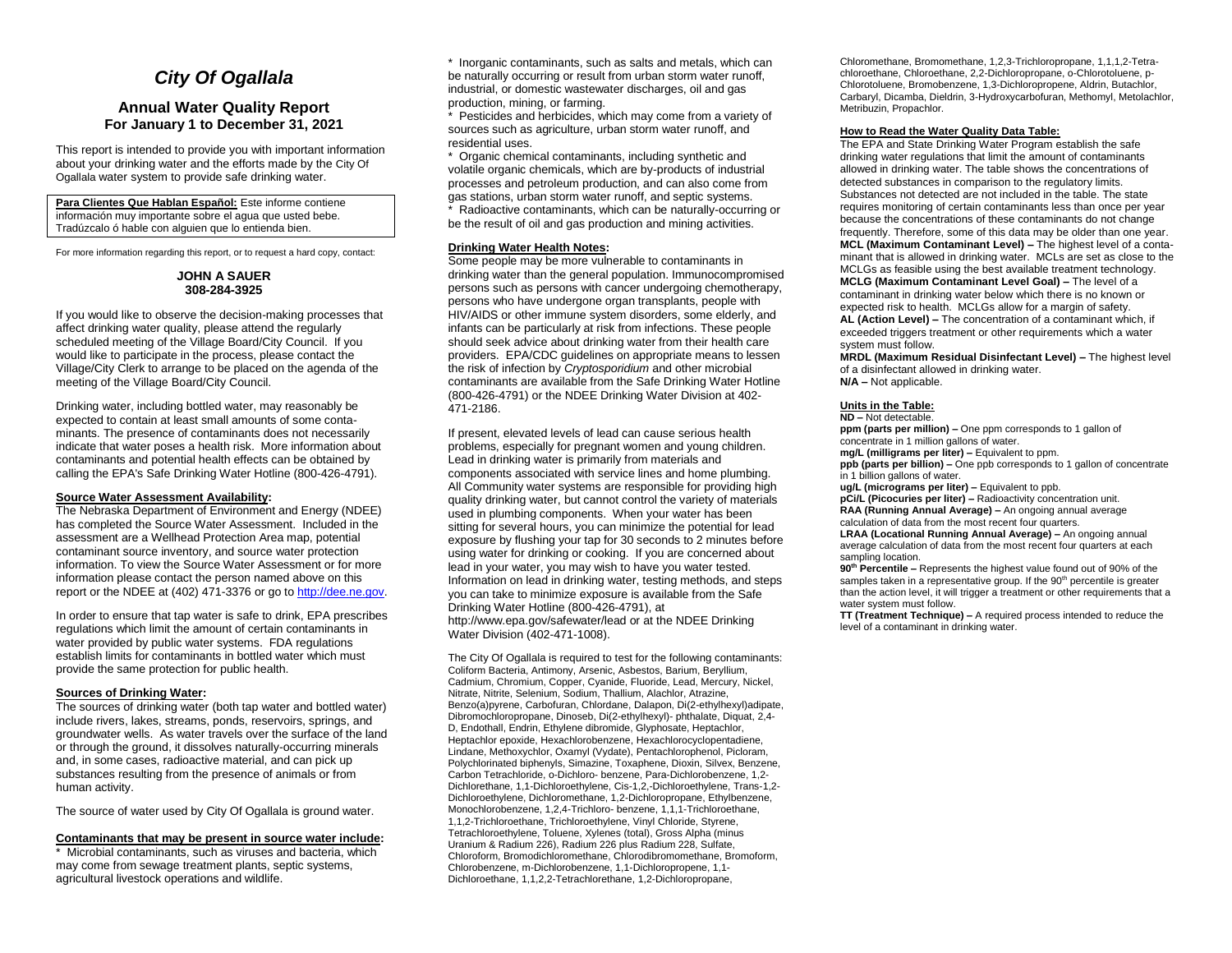# *City Of Ogallala*

## **Annual Water Quality Report For January 1 to December 31, 2021**

This report is intended to provide you with important information about your drinking water and the efforts made by the City Of Ogallala water system to provide safe drinking water.

#### **Para Clientes Que Hablan Español:** Este informe contiene información muy importante sobre el agua que usted bebe. Tradúzcalo ó hable con alguien que lo entienda bien.

For more information regarding this report, or to request a hard copy, contact:

## **JOHN A SAUER 308-284-3925**

If you would like to observe the decision-making processes that affect drinking water quality, please attend the regularly scheduled meeting of the Village Board/City Council. If you would like to participate in the process, please contact the Village/City Clerk to arrange to be placed on the agenda of the meeting of the Village Board/City Council.

Drinking water, including bottled water, may reasonably be expected to contain at least small amounts of some contaminants. The presence of contaminants does not necessarily indicate that water poses a health risk. More information about contaminants and potential health effects can be obtained by calling the EPA's Safe Drinking Water Hotline (800-426-4791).

#### **Source Water Assessment Availability:**

The Nebraska Department of Environment and Energy (NDEE) has completed the Source Water Assessment. Included in the assessment are a Wellhead Protection Area map, potential contaminant source inventory, and source water protection information. To view the Source Water Assessment or for more information please contact the person named above on this report or the NDEE at (402) 471-3376 or go t[o http://dee.ne.gov.](http://dee.ne.gov/)

In order to ensure that tap water is safe to drink, EPA prescribes regulations which limit the amount of certain contaminants in water provided by public water systems. FDA regulations establish limits for contaminants in bottled water which must provide the same protection for public health.

#### **Sources of Drinking Water:**

The sources of drinking water (both tap water and bottled water) include rivers, lakes, streams, ponds, reservoirs, springs, and groundwater wells. As water travels over the surface of the land or through the ground, it dissolves naturally-occurring minerals and, in some cases, radioactive material, and can pick up substances resulting from the presence of animals or from human activity.

The source of water used by City Of Ogallala is ground water.

## **Contaminants that may be present in source water include:**

\* Microbial contaminants, such as viruses and bacteria, which may come from sewage treatment plants, septic systems, agricultural livestock operations and wildlife.

\* Inorganic contaminants, such as salts and metals, which can be naturally occurring or result from urban storm water runoff, industrial, or domestic wastewater discharges, oil and gas production, mining, or farming.

\* Pesticides and herbicides, which may come from a variety of sources such as agriculture, urban storm water runoff, and residential uses.

\* Organic chemical contaminants, including synthetic and volatile organic chemicals, which are by-products of industrial processes and petroleum production, and can also come from gas stations, urban storm water runoff, and septic systems. \* Radioactive contaminants, which can be naturally-occurring or be the result of oil and gas production and mining activities.

## **Drinking Water Health Notes:**

Some people may be more vulnerable to contaminants in drinking water than the general population. Immunocompromised persons such as persons with cancer undergoing chemotherapy, persons who have undergone organ transplants, people with HIV/AIDS or other immune system disorders, some elderly, and infants can be particularly at risk from infections. These people should seek advice about drinking water from their health care providers. EPA/CDC guidelines on appropriate means to lessen the risk of infection by *Cryptosporidium* and other microbial contaminants are available from the Safe Drinking Water Hotline (800-426-4791) or the NDEE Drinking Water Division at 402- 471-2186.

If present, elevated levels of lead can cause serious health problems, especially for pregnant women and young children. Lead in drinking water is primarily from materials and components associated with service lines and home plumbing. All Community water systems are responsible for providing high quality drinking water, but cannot control the variety of materials used in plumbing components. When your water has been sitting for several hours, you can minimize the potential for lead exposure by flushing your tap for 30 seconds to 2 minutes before using water for drinking or cooking. If you are concerned about lead in your water, you may wish to have you water tested. Information on lead in drinking water, testing methods, and steps you can take to minimize exposure is available from the Safe Drinking Water Hotline (800-426-4791), at http://www.epa.gov/safewater/lead or at the NDEE Drinking Water Division (402-471-1008).

The City Of Ogallala is required to test for the following contaminants: Coliform Bacteria, Antimony, Arsenic, Asbestos, Barium, Beryllium, Cadmium, Chromium, Copper, Cyanide, Fluoride, Lead, Mercury, Nickel, Nitrate, Nitrite, Selenium, Sodium, Thallium, Alachlor, Atrazine, Benzo(a)pyrene, Carbofuran, Chlordane, Dalapon, Di(2-ethylhexyl)adipate, Dibromochloropropane, Dinoseb, Di(2-ethylhexyl)- phthalate, Diquat, 2,4- D, Endothall, Endrin, Ethylene dibromide, Glyphosate, Heptachlor, Heptachlor epoxide, Hexachlorobenzene, Hexachlorocyclopentadiene, Lindane, Methoxychlor, Oxamyl (Vydate), Pentachlorophenol, Picloram, Polychlorinated biphenyls, Simazine, Toxaphene, Dioxin, Silvex, Benzene, Carbon Tetrachloride, o-Dichloro- benzene, Para-Dichlorobenzene, 1,2- Dichlorethane, 1,1-Dichloroethylene, Cis-1,2,-Dichloroethylene, Trans-1,2- Dichloroethylene, Dichloromethane, 1,2-Dichloropropane, Ethylbenzene, Monochlorobenzene, 1,2,4-Trichloro- benzene, 1,1,1-Trichloroethane, 1,1,2-Trichloroethane, Trichloroethylene, Vinyl Chloride, Styrene, Tetrachloroethylene, Toluene, Xylenes (total), Gross Alpha (minus Uranium & Radium 226), Radium 226 plus Radium 228, Sulfate, Chloroform, Bromodichloromethane, Chlorodibromomethane, Bromoform, Chlorobenzene, m-Dichlorobenzene, 1,1-Dichloropropene, 1,1- Dichloroethane, 1,1,2,2-Tetrachlorethane, 1,2-Dichloropropane,

Chloromethane, Bromomethane, 1,2,3-Trichloropropane, 1,1,1,2-Tetrachloroethane, Chloroethane, 2,2-Dichloropropane, o-Chlorotoluene, p-Chlorotoluene, Bromobenzene, 1,3-Dichloropropene, Aldrin, Butachlor, Carbaryl, Dicamba, Dieldrin, 3-Hydroxycarbofuran, Methomyl, Metolachlor, Metribuzin, Propachlor.

#### **How to Read the Water Quality Data Table:**

The EPA and State Drinking Water Program establish the safe drinking water regulations that limit the amount of contaminants allowed in drinking water. The table shows the concentrations of detected substances in comparison to the regulatory limits. Substances not detected are not included in the table. The state requires monitoring of certain contaminants less than once per year because the concentrations of these contaminants do not change frequently. Therefore, some of this data may be older than one year. **MCL (Maximum Contaminant Level) –** The highest level of a contaminant that is allowed in drinking water. MCLs are set as close to the MCLGs as feasible using the best available treatment technology. **MCLG (Maximum Contaminant Level Goal) –** The level of a contaminant in drinking water below which there is no known or expected risk to health. MCLGs allow for a margin of safety. **AL (Action Level) –** The concentration of a contaminant which, if

exceeded triggers treatment or other requirements which a water system must follow.

**MRDL (Maximum Residual Disinfectant Level) –** The highest level of a disinfectant allowed in drinking water. **N/A –** Not applicable.

#### **Units in the Table:**

#### **ND –** Not detectable.

**ppm (parts per million) –** One ppm corresponds to 1 gallon of concentrate in 1 million gallons of water.

**mg/L (milligrams per liter) –** Equivalent to ppm.

**ppb (parts per billion) –** One ppb corresponds to 1 gallon of concentrate in 1 billion gallons of water.

**ug/L (micrograms per liter) –** Equivalent to ppb.

**pCi/L (Picocuries per liter) –** Radioactivity concentration unit. **RAA (Running Annual Average) –** An ongoing annual average calculation of data from the most recent four quarters.

**LRAA (Locational Running Annual Average) –** An ongoing annual average calculation of data from the most recent four quarters at each sampling location.

**90th Percentile –** Represents the highest value found out of 90% of the samples taken in a representative group. If the 90<sup>th</sup> percentile is greater than the action level, it will trigger a treatment or other requirements that a water system must follow.

**TT (Treatment Technique) –** A required process intended to reduce the level of a contaminant in drinking water.